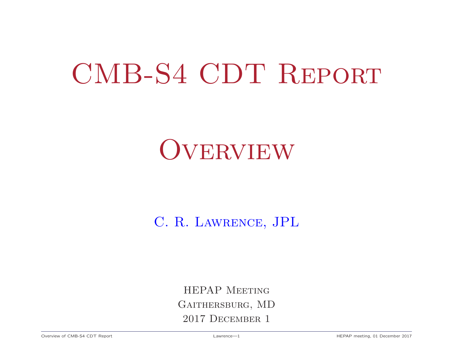# CMB-S4 CDT Report

# **OVERVIEW**

### C. R. Lawrence, JPL

HEPAP Meeting Gaithersburg, MD 2017 December 1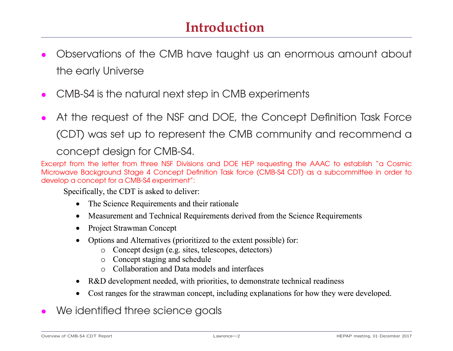- *•* Observations of the CMB have taught us an enormous amount about the early Universe
- *•* CMB-S4 is the natural next step in CMB experiments
- *•* At the request of the NSF and DOE, the Concept Definition Task Force (CDT) was set up to represent the CMB community and recommend a

Excerpt from the letter from three NSF Divisions and DOE HEP requesting the AAAC to establish "a Cosmic Microwave Background Stage 4 Concept Definition Task force (CMB-S4 CDT) as a subcommittee in order to develop a concept for a CMB-S4 experiment":

Specifically, the CDT is asked to deliver:

- The Science Requirements and their rationale
- Measurement and Technical Requirements derived from the Science Requirements
- **Project Strawman Concept**  $\bullet$
- Options and Alternatives (prioritized to the extent possible) for:
	- Concept design (e.g. sites, telescopes, detectors)
	- Concept staging and schedule  $\circ$
	- $\circ$  Collaboration and Data models and interfaces
- R&D development needed, with priorities, to demonstrate technical readiness  $\bullet$
- Cost ranges for the strawman concept, including explanations for how they were developed.
- *•* We identified three science goals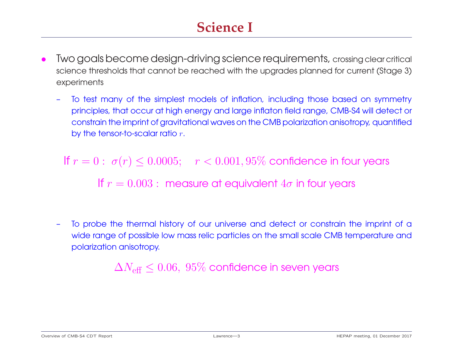# **Science I**

- Two goals become design-driving science requirements, crossing clear critical science thresholds that cannot be reached with the upgrades planned for current (Stage 3) experiments
	- To test many of the simplest models of inflation, including those based on symmetry<br>principles, that occur at high energy and large inflaton field range, CMB-S4 will detect or principles, that occur at high energy and large inflaton field range, ends to the control of the control of the constrain the imprint of gravitational waves on the CMB polarization anisotropy, quantified by the tensor-to-scalar ratio *<sup>r</sup>*.

If  $r = 0$ :  $\sigma(r) \le 0.0005$ ;  $r < 0.001, 95\%$  confidence in four years If  $r = 0.003$ : measure at equivalent  $4\sigma$  in four years

– To probe the thermal history of our universe and detect or constrain the imprint of a wide range or possible fow mass relief particles on the small scale CMB remperature and polarization anisotropy.

 $\Delta N_{\text{eff}} \leq 0.06$ ,  $95\%$  confidence in seven years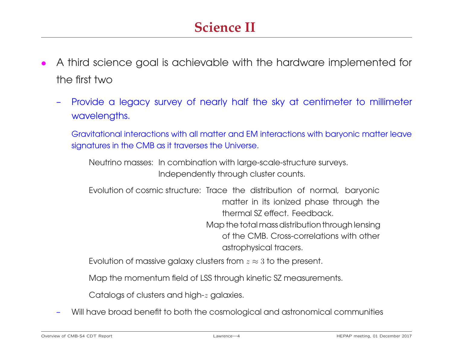# **Science II**

- *•* A third science goal is achievable with the hardware implemented for  $\cdots$ 
	- Provide a legacy survey of nearly half the sky at centimeter to millimeter wavelengths.

Gravitational interactions with all matter and EM interactions with baryonic matter leave signatures in the CMB as it traverses the Universe.

Neutrino masses: In combination with large-scale-structure surveys. Independently through cluster counts.

Evolution of cosmic structure: Trace the distribution of normal, baryonic thermal SZ effect. Feedback. Map the total mass distribution through lensing of the CMB. Cross-correlations with other of the CMB. Cross-correlations with other astrophysical tracers.

Evolution of massive galaxy clusters from  $z \approx 3$  to the present.

Map the momentum field of LSS through kinetic SZ measurements.

Catalogs of clusters and high-*<sup>z</sup>* galaxies.

– Will have broad benefit to both the cosmological and astronomical communities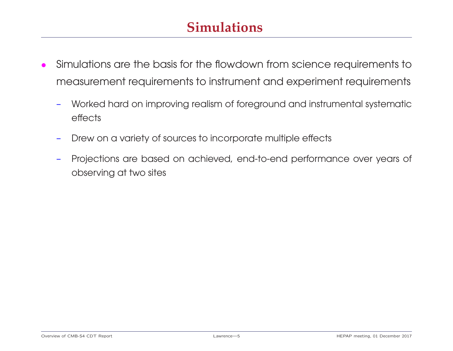# **Simulations**

- *•* Simulations are the basis for the flowdown from science requirements to measurement requirements to instrument and experiment requirements
	- Worked hard on improving realism of foreground and instrumental systematic  $rac{1}{2}$
	- Drew on a variety of sources to incorporate multiple effects
	- Projections are based on achieved, end-to-end performance over years of  $\overline{\phantom{a}}$ observing at two sites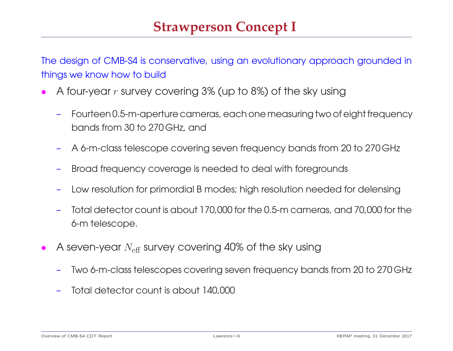The design of CMB-S4 is conservative, using an evolutionary approach grounded in things we know how to build

- *•* <sup>A</sup> four-year *<sup>r</sup>* survey covering 3% (up to 8%) of the sky using
	- Fourteen 0.5-m-aperture cameras, each one measuring two of eight frequency bands from 30 to 270 GHz, and
	- A 6-m-class telescope covering seven frequency bands from 20 to 270 GHz
	- Broad frequency coverage is needed to deal with foregrounds
	- Low resolution for primordial B modes; high resolution needed for delensing  $\overline{\phantom{a}}$
	- Total detector count is about 170,000 for the 0.5-m cameras, and 70,000 for the 6-m telescope.
- A seven-year *N*<sub>eff</sub> survey covering 40% of the sky using
	- Two 6-m-class telescopes covering seven frequency bands from 20 to 270 GHz
	- Total detector count is about 140,000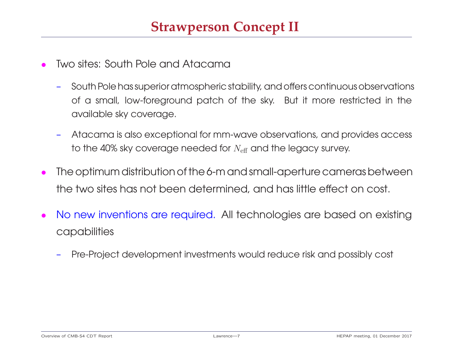- *•* Two sites: South Pole and Atacama
	- $\overline{\phantom{m}}$ – South Polehassuperioratmospheric stability, andoffers continuousobservations of a small, low-foreground patch of the sky. But it more restricted in the available sky coverage.
	- Atacama is also exceptional for mm-wave observations, and provides access to the 40% sky coverage needed for  $N_{\text{eff}}$  and the legacy survey.
- The optimum distribution of the 6-m and small-aperture cameras between<br>the two sites has not been determined, and has little effect on cost. the two sites has not been determined, and has little effect on cost.
- *•* No new inventions are required. All technologies are based on existing capabilities
	- Pre-Project development investments would reduce risk and possibly cost  $\overline{\phantom{m}}$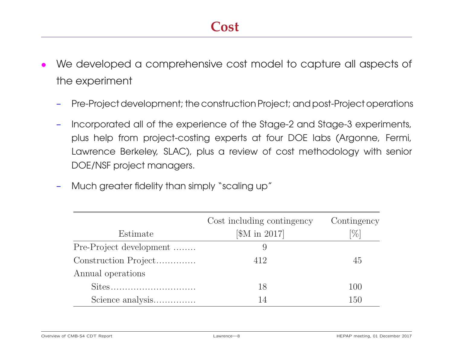- *•* We developed a comprehensive cost model to capture all aspects of the experiment
	- Pre-Project development; the construction Project; and post-Project operations  $\overline{\phantom{m}}$
	- Incorporated all of the experience of the Stage-2 and Stage-3 experiments, plus help from project-costing experts at four DOE labs (Argonne, Fermi, Lawrence Bencro $\mu$  of  $\epsilon$ ), plus a review of cost memodology with senior DOE/NSF project managers.
	- Much greater fidelity than simply "scaling up"  $\overline{\phantom{a}}$

|                         | Cost including contingency | Contingency |
|-------------------------|----------------------------|-------------|
| Estimate                | [\$M in 2017]              | $[\%]$      |
| Pre-Project development | 9                          |             |
| Construction Project    | 412                        | 45          |
| Annual operations       |                            |             |
|                         | 18                         | 100         |
| Science analysis        | 14                         | 150         |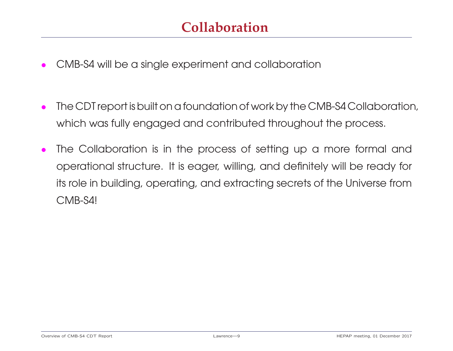- *•* CMB-S4 will be a single experiment and collaboration
- The CDT report is built on a foundation of work by the CMB-S4 Collaboration, which was fully engaged and contributed throughout the process.
- The Collaboration is in the process of setting up a more formal and operational structure. It is eager, willing, and definitely will be ready for its role in building, operating, and extracting secrets of the Universe from  $\sum_{i=1}^{n}$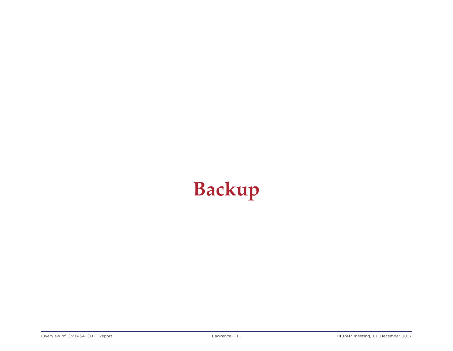# **Backup**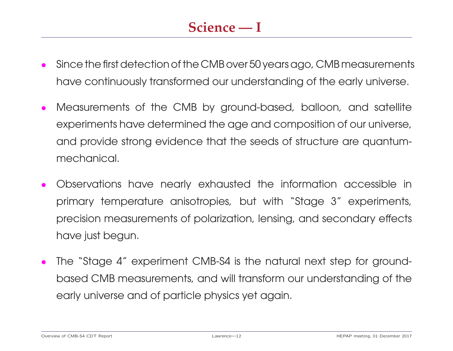- *•* Sincethefirstdetectionofthe CMBover 50 yearsago, CMB measurements have continuously transformed our understanding of the early universe.
- *•* Measurements of the CMB by ground-based, balloon, and satellite experiments have determined the age and composition of our universe, and provide strong evidence that the seeds of structure are quantummeenanie air
- *•* Observations have nearly exhausted the information accessible in primary temperature anisotropies, but with "Stage 3" experiments, precision measurements of polarization, lensing, and secondary effects have just begun.
- *•* The "Stage 4" experiment CMB-S4 is the natural next step for groundbased CMB measurements, and will transform our understanding of the early universe and of particle physics yet again.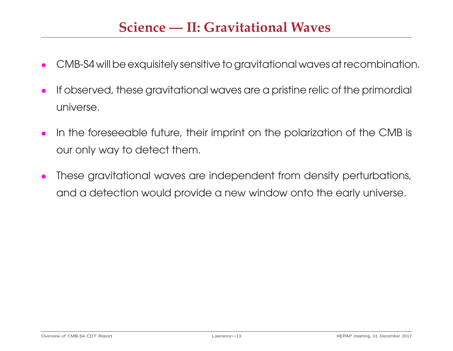### **Science — II: Gravitational Waves**

- CMB-S4 will be exquisitely sensitive to gravitational waves at recombination.
- *•* If observed, these gravitational waves are a pristine relic of the primordial universe.
- *•* In the foreseeable future, their imprint on the polarization of the CMB is our only way to detect them.
- *•* These gravitational waves are independent from density perturbations, and a detection would provide a new window onto the early universe.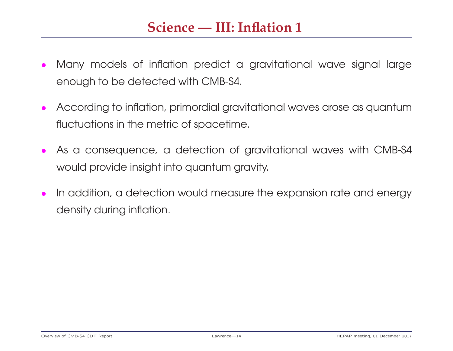### **Science — III: Inflation 1**

- *•* Many models of inflation predict a gravitational wave signal large enough to be detected with CMB-S4.
- *•* According to inflation, primordial gravitational waves arose as quantum fluctuations in the metric of spacetime.
- *•* As a consequence, a detection of gravitational waves with CMB-S4 would provide insight into quantum gravity.
- *•* In addition, a detection would measure the expansion rate and energy density during inflation.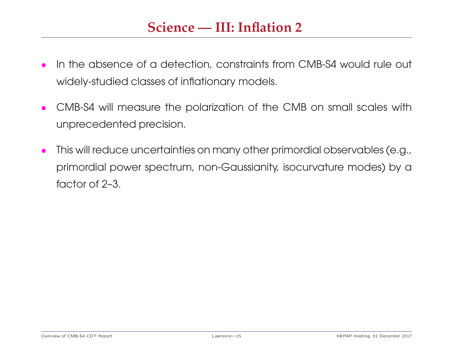### **Science — III: Inflation 2**

- *•* In the absence of a detection, constraints from CMB-S4 would rule out widely-studied classes of inflationary models.
- *•* CMB-S4 will measure the polarization of the CMB on small scales with unprecedented precision.
- *•* This will reduce uncertainties on many other primordial observables (e.g., primordial power spectrum, non-Gaussianity, isocurvature modes) by a<br>factor of 2-3. factor of  $2$ –3.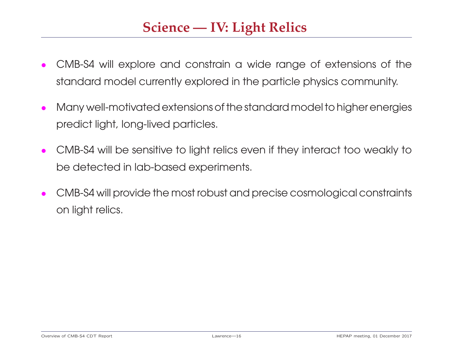# **Science — IV: Light Relics**

- *•* CMB-S4 will explore and constrain a wide range of extensions of the standard model currently explored in the particle physics community.
- *•* Many well-motivatedextensionsofthe standard modelto higherenergies predict light, long-lived particles.
- *•* CMB-S4 will be sensitive to light relics even if they interact too weakly to be detected in lab-based experiments.
- *•* CMB-S4 will provide the most robust and precise cosmological constraints on light relics.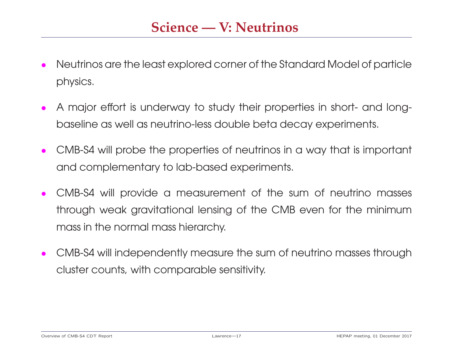- *•* Neutrinos are the least explored corner of the Standard Model of particle physics.
- *•* A major effort is underway to study their properties in short- and longbaseline as well as neutrino-less double beta decay experiments.
- *•* CMB-S4 will probe the properties of neutrinos in a way that is important and complementary to lab-based experiments.
- *•* CMB-S4 will provide a measurement of the sum of neutrino masses through weak gravitational lensing of the CMB even for the minimum mass in the normal mass hierarchy.
- *•* CMB-S4 will independently measure the sum of neutrino masses through cluster counts, with comparable sensitivity.